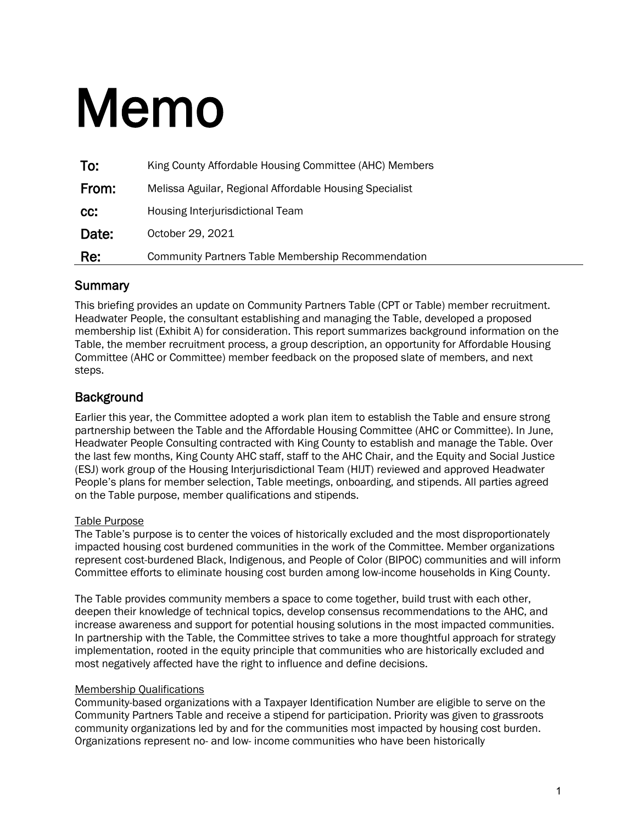# Memo

| To:   | King County Affordable Housing Committee (AHC) Members    |
|-------|-----------------------------------------------------------|
| From: | Melissa Aguilar, Regional Affordable Housing Specialist   |
| CC:   | Housing Interjurisdictional Team                          |
| Date: | October 29, 2021                                          |
| Re:   | <b>Community Partners Table Membership Recommendation</b> |

### **Summary**

This briefing provides an update on Community Partners Table (CPT or Table) member recruitment. Headwater People, the consultant establishing and managing the Table, developed a proposed membership list (Exhibit A) for consideration. This report summarizes background information on the Table, the member recruitment process, a group description, an opportunity for Affordable Housing Committee (AHC or Committee) member feedback on the proposed slate of members, and next steps.

# **Background**

Earlier this year, the Committee adopted a work plan item to establish the Table and ensure strong partnership between the Table and the Affordable Housing Committee (AHC or Committee). In June, Headwater People Consulting contracted with King County to establish and manage the Table. Over the last few months, King County AHC staff, staff to the AHC Chair, and the Equity and Social Justice (ESJ) work group of the Housing Interjurisdictional Team (HIJT) reviewed and approved Headwater People's plans for member selection, Table meetings, onboarding, and stipends. All parties agreed on the Table purpose, member qualifications and stipends.

#### Table Purpose

The Table's purpose is to center the voices of historically excluded and the most disproportionately impacted housing cost burdened communities in the work of the Committee. Member organizations represent cost-burdened Black, Indigenous, and People of Color (BIPOC) communities and will inform Committee efforts to eliminate housing cost burden among low-income households in King County.

The Table provides community members a space to come together, build trust with each other, deepen their knowledge of technical topics, develop consensus recommendations to the AHC, and increase awareness and support for potential housing solutions in the most impacted communities. In partnership with the Table, the Committee strives to take a more thoughtful approach for strategy implementation, rooted in the equity principle that communities who are historically excluded and most negatively affected have the right to influence and define decisions.

#### Membership Qualifications

Community-based organizations with a Taxpayer Identification Number are eligible to serve on the Community Partners Table and receive a stipend for participation. Priority was given to grassroots community organizations led by and for the communities most impacted by housing cost burden. Organizations represent no- and low- income communities who have been historically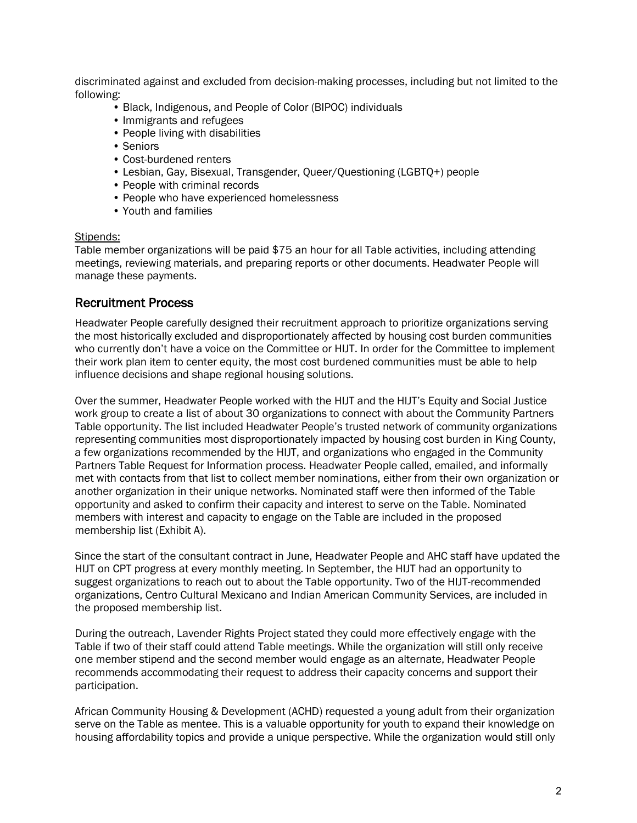discriminated against and excluded from decision-making processes, including but not limited to the following:

- Black, Indigenous, and People of Color (BIPOC) individuals
- Immigrants and refugees
- People living with disabilities
- Seniors
- Cost-burdened renters
- Lesbian, Gay, Bisexual, Transgender, Queer/Questioning (LGBTQ+) people
- People with criminal records
- People who have experienced homelessness
- Youth and families

#### Stipends:

Table member organizations will be paid \$75 an hour for all Table activities, including attending meetings, reviewing materials, and preparing reports or other documents. Headwater People will manage these payments.

#### Recruitment Process

Headwater People carefully designed their recruitment approach to prioritize organizations serving the most historically excluded and disproportionately affected by housing cost burden communities who currently don't have a voice on the Committee or HIJT. In order for the Committee to implement their work plan item to center equity, the most cost burdened communities must be able to help influence decisions and shape regional housing solutions.

Over the summer, Headwater People worked with the HIJT and the HIJT's Equity and Social Justice work group to create a list of about 30 organizations to connect with about the Community Partners Table opportunity. The list included Headwater People's trusted network of community organizations representing communities most disproportionately impacted by housing cost burden in King County, a few organizations recommended by the HIJT, and organizations who engaged in the Community Partners Table Request for Information process. Headwater People called, emailed, and informally met with contacts from that list to collect member nominations, either from their own organization or another organization in their unique networks. Nominated staff were then informed of the Table opportunity and asked to confirm their capacity and interest to serve on the Table. Nominated members with interest and capacity to engage on the Table are included in the proposed membership list (Exhibit A).

Since the start of the consultant contract in June, Headwater People and AHC staff have updated the HIJT on CPT progress at every monthly meeting. In September, the HIJT had an opportunity to suggest organizations to reach out to about the Table opportunity. Two of the HIJT-recommended organizations, Centro Cultural Mexicano and Indian American Community Services, are included in the proposed membership list.

During the outreach, Lavender Rights Project stated they could more effectively engage with the Table if two of their staff could attend Table meetings. While the organization will still only receive one member stipend and the second member would engage as an alternate, Headwater People recommends accommodating their request to address their capacity concerns and support their participation.

African Community Housing & Development (ACHD) requested a young adult from their organization serve on the Table as mentee. This is a valuable opportunity for youth to expand their knowledge on housing affordability topics and provide a unique perspective. While the organization would still only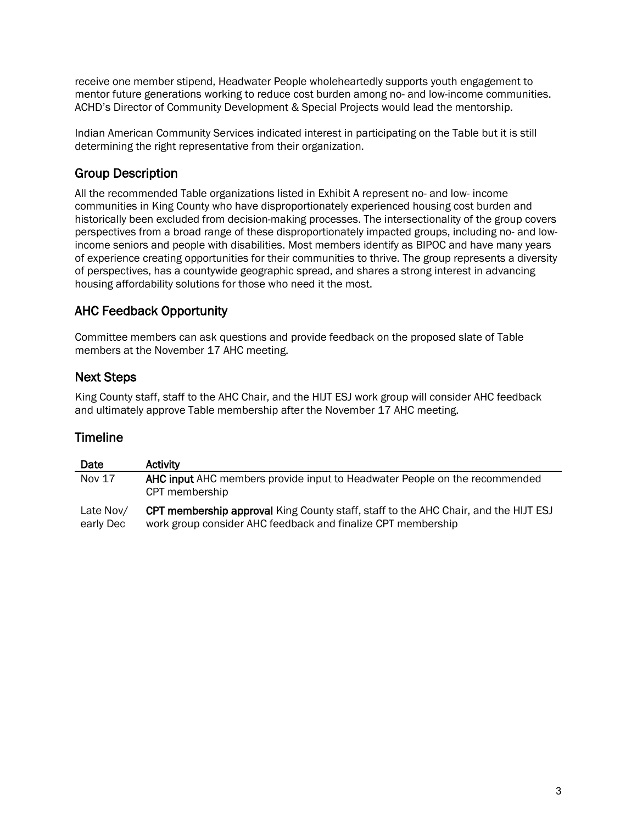receive one member stipend, Headwater People wholeheartedly supports youth engagement to mentor future generations working to reduce cost burden among no- and low-income communities. ACHD's Director of Community Development & Special Projects would lead the mentorship.

Indian American Community Services indicated interest in participating on the Table but it is still determining the right representative from their organization.

# Group Description

All the recommended Table organizations listed in Exhibit A represent no- and low- income communities in King County who have disproportionately experienced housing cost burden and historically been excluded from decision-making processes. The intersectionality of the group covers perspectives from a broad range of these disproportionately impacted groups, including no- and lowincome seniors and people with disabilities. Most members identify as BIPOC and have many years of experience creating opportunities for their communities to thrive. The group represents a diversity of perspectives, has a countywide geographic spread, and shares a strong interest in advancing housing affordability solutions for those who need it the most.

# AHC Feedback Opportunity

Committee members can ask questions and provide feedback on the proposed slate of Table members at the November 17 AHC meeting.

#### Next Steps

King County staff, staff to the AHC Chair, and the HIJT ESJ work group will consider AHC feedback and ultimately approve Table membership after the November 17 AHC meeting.

#### Timeline

| Date                   | <b>Activity</b>                                                                                                                                            |
|------------------------|------------------------------------------------------------------------------------------------------------------------------------------------------------|
| <b>Nov 17</b>          | AHC input AHC members provide input to Headwater People on the recommended<br>CPT membership                                                               |
| Late Nov/<br>early Dec | <b>CPT membership approval King County staff, staff to the AHC Chair, and the HIJT ESJ</b><br>work group consider AHC feedback and finalize CPT membership |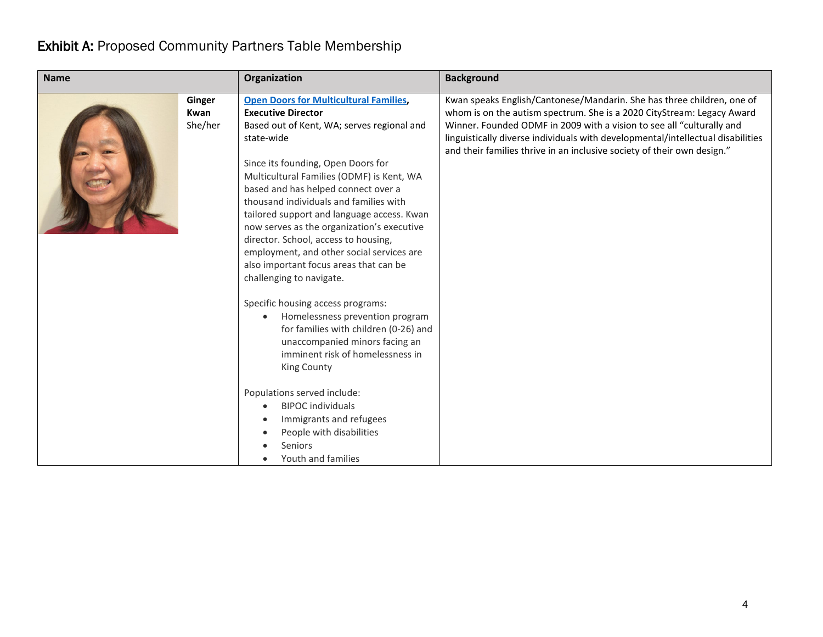# Exhibit A: Proposed Community Partners Table Membership

| <b>Name</b> |                           | Organization                                                                                                                                                                                                                                                                                                                                                                                                                                                                                                                                                      | <b>Background</b>                                                                                                                                                                                                                                                                                                                                                                       |
|-------------|---------------------------|-------------------------------------------------------------------------------------------------------------------------------------------------------------------------------------------------------------------------------------------------------------------------------------------------------------------------------------------------------------------------------------------------------------------------------------------------------------------------------------------------------------------------------------------------------------------|-----------------------------------------------------------------------------------------------------------------------------------------------------------------------------------------------------------------------------------------------------------------------------------------------------------------------------------------------------------------------------------------|
|             | Ginger<br>Kwan<br>She/her | <b>Open Doors for Multicultural Families,</b><br><b>Executive Director</b><br>Based out of Kent, WA; serves regional and<br>state-wide<br>Since its founding, Open Doors for<br>Multicultural Families (ODMF) is Kent, WA<br>based and has helped connect over a<br>thousand individuals and families with<br>tailored support and language access. Kwan<br>now serves as the organization's executive<br>director. School, access to housing,<br>employment, and other social services are<br>also important focus areas that can be<br>challenging to navigate. | Kwan speaks English/Cantonese/Mandarin. She has three children, one of<br>whom is on the autism spectrum. She is a 2020 CityStream: Legacy Award<br>Winner. Founded ODMF in 2009 with a vision to see all "culturally and<br>linguistically diverse individuals with developmental/intellectual disabilities<br>and their families thrive in an inclusive society of their own design." |
|             |                           | Specific housing access programs:<br>Homelessness prevention program<br>$\bullet$<br>for families with children (0-26) and<br>unaccompanied minors facing an<br>imminent risk of homelessness in<br>King County<br>Populations served include:<br><b>BIPOC</b> individuals<br>$\bullet$<br>Immigrants and refugees<br>$\bullet$<br>People with disabilities<br><b>Seniors</b>                                                                                                                                                                                     |                                                                                                                                                                                                                                                                                                                                                                                         |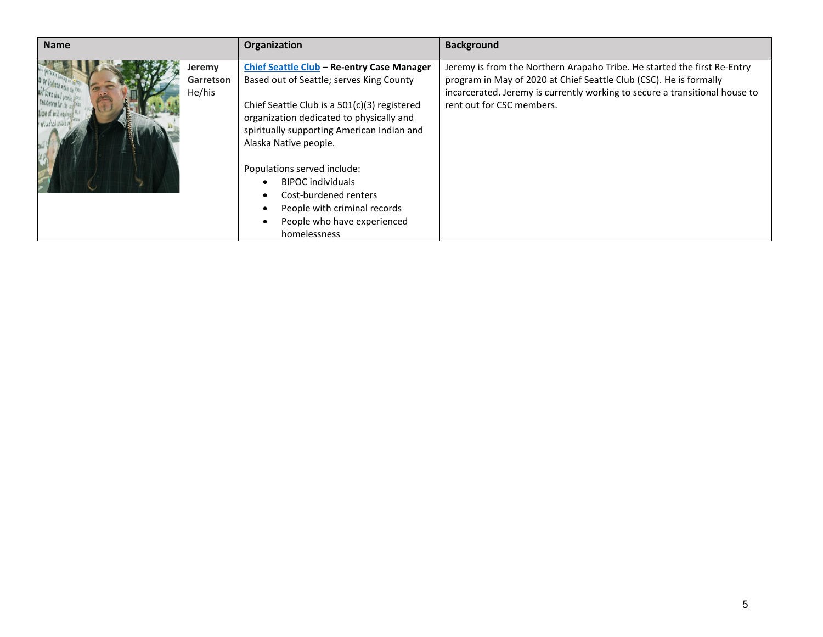| <b>Name</b> |                               | Organization                                                                                                                                                                                                                                                                                                                                                                                                                 | <b>Background</b>                                                                                                                                                                                                                                          |
|-------------|-------------------------------|------------------------------------------------------------------------------------------------------------------------------------------------------------------------------------------------------------------------------------------------------------------------------------------------------------------------------------------------------------------------------------------------------------------------------|------------------------------------------------------------------------------------------------------------------------------------------------------------------------------------------------------------------------------------------------------------|
| 7611        | Jeremy<br>Garretson<br>He/his | Chief Seattle Club - Re-entry Case Manager<br>Based out of Seattle; serves King County<br>Chief Seattle Club is a 501(c)(3) registered<br>organization dedicated to physically and<br>spiritually supporting American Indian and<br>Alaska Native people.<br>Populations served include:<br><b>BIPOC</b> individuals<br>Cost-burdened renters<br>People with criminal records<br>People who have experienced<br>homelessness | Jeremy is from the Northern Arapaho Tribe. He started the first Re-Entry<br>program in May of 2020 at Chief Seattle Club (CSC). He is formally<br>incarcerated. Jeremy is currently working to secure a transitional house to<br>rent out for CSC members. |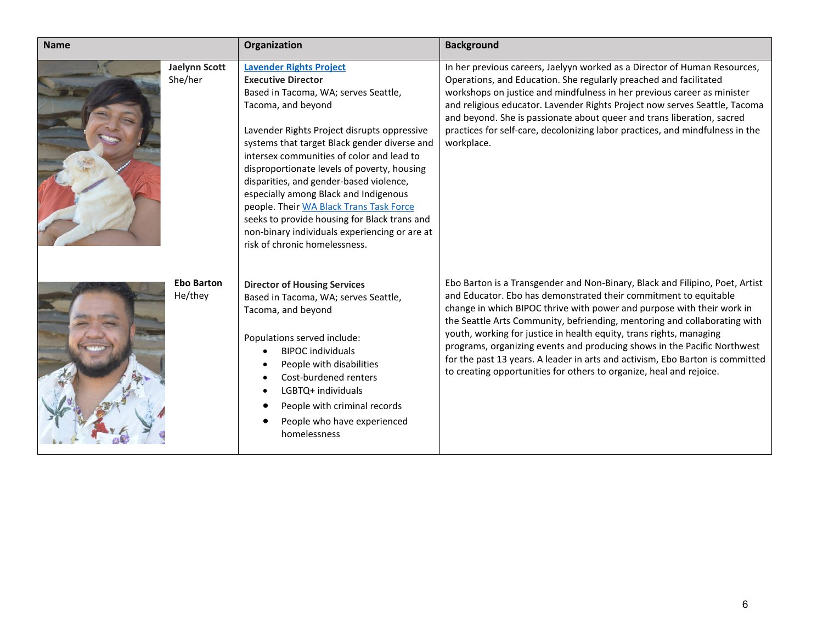| <b>Name</b> |                                 | Organization                                                                                                                                                                                                                                                                                                                                                                                                                                                                                                                                                                          | <b>Background</b>                                                                                                                                                                                                                                                                                                                                                                                                                                                                                                                                                                                                  |
|-------------|---------------------------------|---------------------------------------------------------------------------------------------------------------------------------------------------------------------------------------------------------------------------------------------------------------------------------------------------------------------------------------------------------------------------------------------------------------------------------------------------------------------------------------------------------------------------------------------------------------------------------------|--------------------------------------------------------------------------------------------------------------------------------------------------------------------------------------------------------------------------------------------------------------------------------------------------------------------------------------------------------------------------------------------------------------------------------------------------------------------------------------------------------------------------------------------------------------------------------------------------------------------|
|             | <b>Jaelynn Scott</b><br>She/her | <b>Lavender Rights Project</b><br><b>Executive Director</b><br>Based in Tacoma, WA; serves Seattle,<br>Tacoma, and beyond<br>Lavender Rights Project disrupts oppressive<br>systems that target Black gender diverse and<br>intersex communities of color and lead to<br>disproportionate levels of poverty, housing<br>disparities, and gender-based violence,<br>especially among Black and Indigenous<br>people. Their WA Black Trans Task Force<br>seeks to provide housing for Black trans and<br>non-binary individuals experiencing or are at<br>risk of chronic homelessness. | In her previous careers, Jaelyyn worked as a Director of Human Resources,<br>Operations, and Education. She regularly preached and facilitated<br>workshops on justice and mindfulness in her previous career as minister<br>and religious educator. Lavender Rights Project now serves Seattle, Tacoma<br>and beyond. She is passionate about queer and trans liberation, sacred<br>practices for self-care, decolonizing labor practices, and mindfulness in the<br>workplace.                                                                                                                                   |
|             | <b>Ebo Barton</b><br>He/they    | <b>Director of Housing Services</b><br>Based in Tacoma, WA; serves Seattle,<br>Tacoma, and beyond<br>Populations served include:<br><b>BIPOC</b> individuals<br>People with disabilities<br>Cost-burdened renters<br>LGBTQ+ individuals<br>People with criminal records<br>People who have experienced<br>homelessness                                                                                                                                                                                                                                                                | Ebo Barton is a Transgender and Non-Binary, Black and Filipino, Poet, Artist<br>and Educator. Ebo has demonstrated their commitment to equitable<br>change in which BIPOC thrive with power and purpose with their work in<br>the Seattle Arts Community, befriending, mentoring and collaborating with<br>youth, working for justice in health equity, trans rights, managing<br>programs, organizing events and producing shows in the Pacific Northwest<br>for the past 13 years. A leader in arts and activism, Ebo Barton is committed<br>to creating opportunities for others to organize, heal and rejoice. |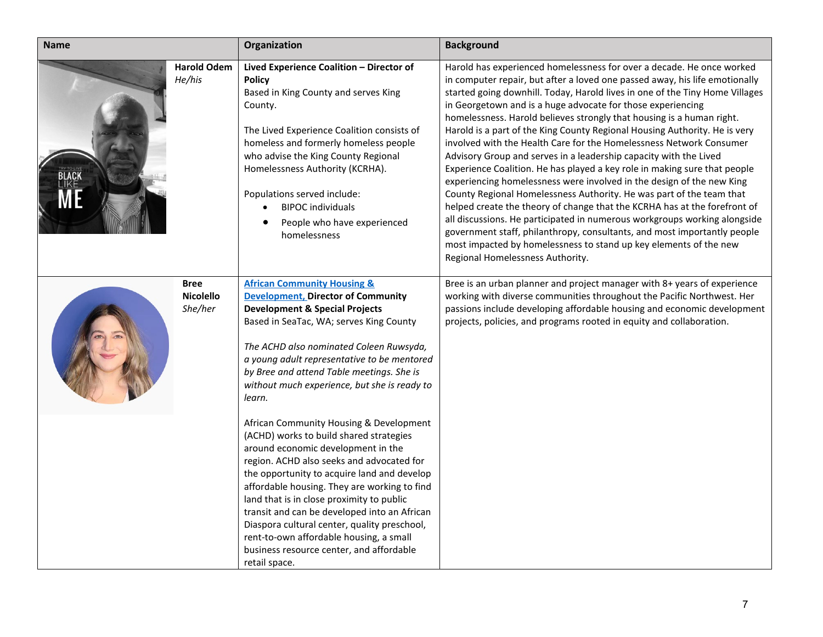| <b>Name</b> |                                            | Organization                                                                                                                                                                                                                                                                                                                                                                                                                                                                                                                                                                                                                                                                                                                                                                                                                                                                                              | <b>Background</b>                                                                                                                                                                                                                                                                                                                                                                                                                                                                                                                                                                                                                                                                                                                                                                                                                                                                                                                                                                                                                                                                                                                                                                   |
|-------------|--------------------------------------------|-----------------------------------------------------------------------------------------------------------------------------------------------------------------------------------------------------------------------------------------------------------------------------------------------------------------------------------------------------------------------------------------------------------------------------------------------------------------------------------------------------------------------------------------------------------------------------------------------------------------------------------------------------------------------------------------------------------------------------------------------------------------------------------------------------------------------------------------------------------------------------------------------------------|-------------------------------------------------------------------------------------------------------------------------------------------------------------------------------------------------------------------------------------------------------------------------------------------------------------------------------------------------------------------------------------------------------------------------------------------------------------------------------------------------------------------------------------------------------------------------------------------------------------------------------------------------------------------------------------------------------------------------------------------------------------------------------------------------------------------------------------------------------------------------------------------------------------------------------------------------------------------------------------------------------------------------------------------------------------------------------------------------------------------------------------------------------------------------------------|
|             | <b>Harold Odem</b><br>He/his               | Lived Experience Coalition - Director of<br><b>Policy</b><br>Based in King County and serves King<br>County.<br>The Lived Experience Coalition consists of<br>homeless and formerly homeless people<br>who advise the King County Regional<br>Homelessness Authority (KCRHA).<br>Populations served include:<br><b>BIPOC</b> individuals<br>People who have experienced<br>homelessness                                                                                                                                                                                                                                                                                                                                                                                                                                                                                                                   | Harold has experienced homelessness for over a decade. He once worked<br>in computer repair, but after a loved one passed away, his life emotionally<br>started going downhill. Today, Harold lives in one of the Tiny Home Villages<br>in Georgetown and is a huge advocate for those experiencing<br>homelessness. Harold believes strongly that housing is a human right.<br>Harold is a part of the King County Regional Housing Authority. He is very<br>involved with the Health Care for the Homelessness Network Consumer<br>Advisory Group and serves in a leadership capacity with the Lived<br>Experience Coalition. He has played a key role in making sure that people<br>experiencing homelessness were involved in the design of the new King<br>County Regional Homelessness Authority. He was part of the team that<br>helped create the theory of change that the KCRHA has at the forefront of<br>all discussions. He participated in numerous workgroups working alongside<br>government staff, philanthropy, consultants, and most importantly people<br>most impacted by homelessness to stand up key elements of the new<br>Regional Homelessness Authority. |
|             | <b>Bree</b><br><b>Nicolello</b><br>She/her | <b>African Community Housing &amp;</b><br><b>Development, Director of Community</b><br><b>Development &amp; Special Projects</b><br>Based in SeaTac, WA; serves King County<br>The ACHD also nominated Coleen Ruwsyda,<br>a young adult representative to be mentored<br>by Bree and attend Table meetings. She is<br>without much experience, but she is ready to<br>learn.<br>African Community Housing & Development<br>(ACHD) works to build shared strategies<br>around economic development in the<br>region. ACHD also seeks and advocated for<br>the opportunity to acquire land and develop<br>affordable housing. They are working to find<br>land that is in close proximity to public<br>transit and can be developed into an African<br>Diaspora cultural center, quality preschool,<br>rent-to-own affordable housing, a small<br>business resource center, and affordable<br>retail space. | Bree is an urban planner and project manager with 8+ years of experience<br>working with diverse communities throughout the Pacific Northwest. Her<br>passions include developing affordable housing and economic development<br>projects, policies, and programs rooted in equity and collaboration.                                                                                                                                                                                                                                                                                                                                                                                                                                                                                                                                                                                                                                                                                                                                                                                                                                                                               |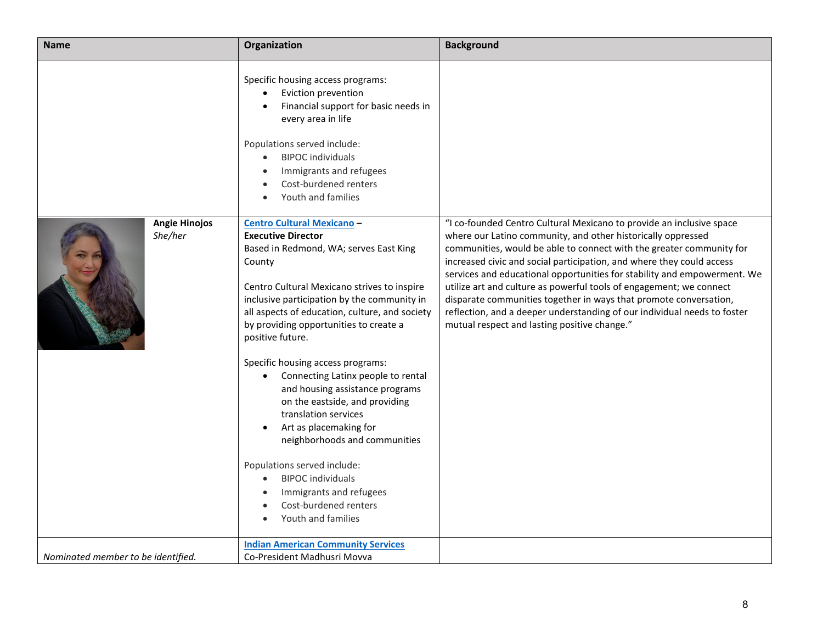| <b>Name</b>                        | Organization                                                                                                                                                                                                                                                                                                                                                                                                                                                                                                                                                                                                                                                                                             | <b>Background</b>                                                                                                                                                                                                                                                                                                                                                                                                                                                                                                                                                                                                                         |
|------------------------------------|----------------------------------------------------------------------------------------------------------------------------------------------------------------------------------------------------------------------------------------------------------------------------------------------------------------------------------------------------------------------------------------------------------------------------------------------------------------------------------------------------------------------------------------------------------------------------------------------------------------------------------------------------------------------------------------------------------|-------------------------------------------------------------------------------------------------------------------------------------------------------------------------------------------------------------------------------------------------------------------------------------------------------------------------------------------------------------------------------------------------------------------------------------------------------------------------------------------------------------------------------------------------------------------------------------------------------------------------------------------|
|                                    | Specific housing access programs:<br>Eviction prevention<br>Financial support for basic needs in<br>every area in life<br>Populations served include:<br><b>BIPOC</b> individuals<br>Immigrants and refugees<br>Cost-burdened renters<br>Youth and families                                                                                                                                                                                                                                                                                                                                                                                                                                              |                                                                                                                                                                                                                                                                                                                                                                                                                                                                                                                                                                                                                                           |
| <b>Angie Hinojos</b><br>She/her    | <b>Centro Cultural Mexicano -</b><br><b>Executive Director</b><br>Based in Redmond, WA; serves East King<br>County<br>Centro Cultural Mexicano strives to inspire<br>inclusive participation by the community in<br>all aspects of education, culture, and society<br>by providing opportunities to create a<br>positive future.<br>Specific housing access programs:<br>Connecting Latinx people to rental<br>and housing assistance programs<br>on the eastside, and providing<br>translation services<br>Art as placemaking for<br>neighborhoods and communities<br>Populations served include:<br><b>BIPOC</b> individuals<br>Immigrants and refugees<br>Cost-burdened renters<br>Youth and families | "I co-founded Centro Cultural Mexicano to provide an inclusive space<br>where our Latino community, and other historically oppressed<br>communities, would be able to connect with the greater community for<br>increased civic and social participation, and where they could access<br>services and educational opportunities for stability and empowerment. We<br>utilize art and culture as powerful tools of engagement; we connect<br>disparate communities together in ways that promote conversation,<br>reflection, and a deeper understanding of our individual needs to foster<br>mutual respect and lasting positive change." |
| Nominated member to be identified. | <b>Indian American Community Services</b><br>Co-President Madhusri Movva                                                                                                                                                                                                                                                                                                                                                                                                                                                                                                                                                                                                                                 |                                                                                                                                                                                                                                                                                                                                                                                                                                                                                                                                                                                                                                           |